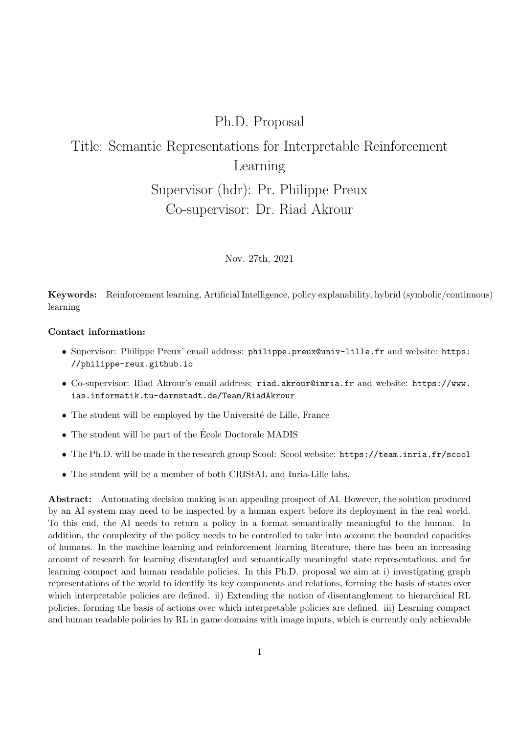## Ph.D. Proposal

# Title: Semantic Representations for Interpretable Reinforcement Learning

## Supervisor (hdr): Pr. Philippe Preux Co-supervisor: Dr. Riad Akrour

Nov. 27th, 2021

Keywords: Reinforcement learning, Artificial Intelligence, policy explanability, hybrid (symbolic/continuous) learning

### Contact information:

- Supervisor: Philippe Preux' email address: philippe.preux@univ-lille.fr and website: https: //philippe-reux.github.io
- Co-supervisor: Riad Akrour's email address: riad.akrour@inria.fr and website: https://www. ias.informatik.tu-darmstadt.de/Team/RiadAkrour
- The student will be employed by the Université de Lille, France
- $\bullet$  The student will be part of the École Doctorale MADIS
- The Ph.D. will be made in the research group Scool: Scool website: https://team.inria.fr/scool
- The student will be a member of both CRIStAL and Inria-Lille labs.

**Abstract:** Automating decision making is an appealing prospect of AI. However, the solution produced by an AI system may need to be inspected by a human expert before its deployment in the real world. To this end, the AI needs to return a policy in a format semantically meaningful to the human. In addition, the complexity of the policy needs to be controlled to take into account the bounded capacities of humans. In the machine learning and reinforcement learning literature, there has been an increasing amount of research for learning disentangled and semantically meaningful state representations, and for learning compact and human readable policies. In this Ph.D. proposal we aim at i) investigating graph representations of the world to identify its key components and relations, forming the basis of states over which interpretable policies are defined. ii) Extending the notion of disentanglement to hierarchical RL policies, forming the basis of actions over which interpretable policies are defined. iii) Learning compact and human readable policies by RL in game domains with image inputs, which is currently only achievable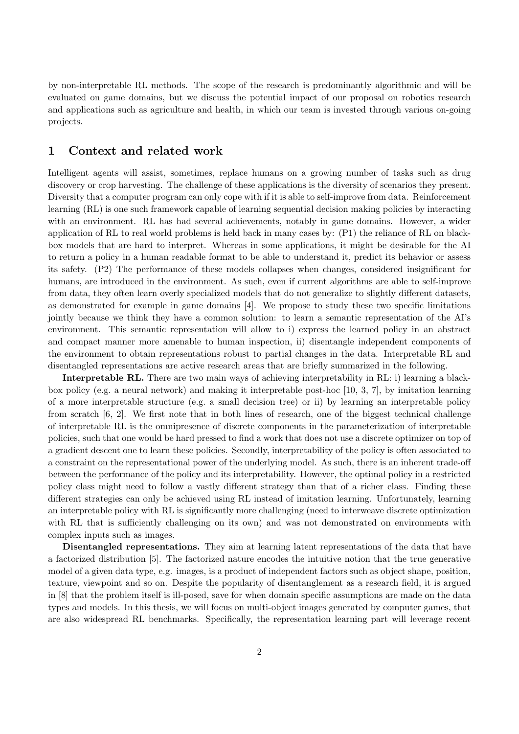by non-interpretable RL methods. The scope of the research is predominantly algorithmic and will be evaluated on game domains, but we discuss the potential impact of our proposal on robotics research and applications such as agriculture and health, in which our team is invested through various on-going projects.

#### $\mathbf 1$ Context and related work

Intelligent agents will assist, sometimes, replace humans on a growing number of tasks such as drug discovery or crop harvesting. The challenge of these applications is the diversity of scenarios they present. Diversity that a computer program can only cope with if it is able to self-improve from data. Reinforcement learning (RL) is one such framework capable of learning sequential decision making policies by interacting with an environment. RL has had several achievements, notably in game domains. However, a wider application of RL to real world problems is held back in many cases by: (P1) the reliance of RL on blackbox models that are hard to interpret. Whereas in some applications, it might be desirable for the AI to return a policy in a human readable format to be able to understand it, predict its behavior or assess its safety. (P2) The performance of these models collapses when changes, considered insignificant for humans, are introduced in the environment. As such, even if current algorithms are able to self-improve from data, they often learn overly specialized models that do not generalize to slightly different datasets, as demonstrated for example in game domains [4]. We propose to study these two specific limitations jointly because we think they have a common solution: to learn a semantic representation of the AI's environment. This semantic representation will allow to i) express the learned policy in an abstract and compact manner more amenable to human inspection, ii) disentangle independent components of the environment to obtain representations robust to partial changes in the data. Interpretable RL and disentangled representations are active research areas that are briefly summarized in the following.

**Interpretable RL.** There are two main ways of achieving interpretability in RL: i) learning a blackbox policy (e.g. a neural network) and making it interpretable post-hoc [10, 3, 7], by imitation learning of a more interpretable structure (e.g. a small decision tree) or ii) by learning an interpretable policy from scratch [6, 2]. We first note that in both lines of research, one of the biggest technical challenge of interpretable RL is the omnipresence of discrete components in the parameterization of interpretable policies, such that one would be hard pressed to find a work that does not use a discrete optimizer on top of a gradient descent one to learn these policies. Secondly, interpretability of the policy is often associated to a constraint on the representational power of the underlying model. As such, there is an inherent trade-off between the performance of the policy and its interpretability. However, the optimal policy in a restricted policy class might need to follow a vastly different strategy than that of a richer class. Finding these different strategies can only be achieved using RL instead of imitation learning. Unfortunately, learning an interpretable policy with RL is significantly more challenging (need to interweave discrete optimization with RL that is sufficiently challenging on its own) and was not demonstrated on environments with complex inputs such as images.

**Disentangled representations.** They aim at learning latent representations of the data that have a factorized distribution [5]. The factorized nature encodes the intuitive notion that the true generative model of a given data type, e.g. images, is a product of independent factors such as object shape, position, texture, viewpoint and so on. Despite the popularity of disentanglement as a research field, it is argued in [8] that the problem itself is ill-posed, save for when domain specific assumptions are made on the data types and models. In this thesis, we will focus on multi-object images generated by computer games, that are also widespread RL benchmarks. Specifically, the representation learning part will leverage recent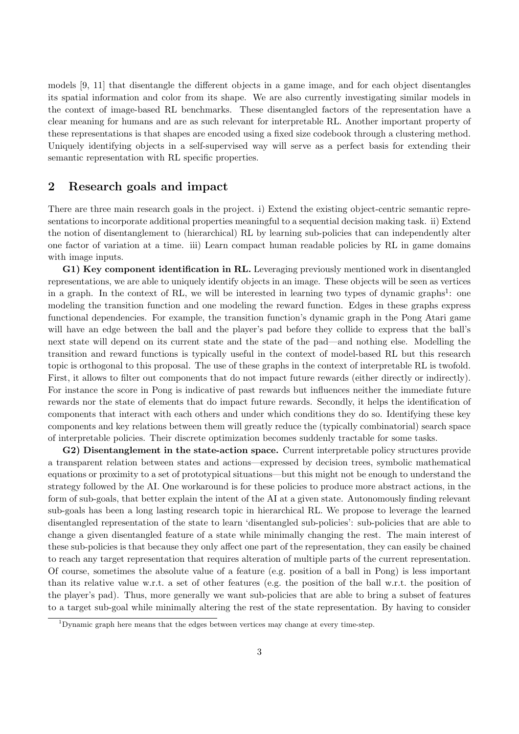models [9, 11] that disentangle the different objects in a game image, and for each object disentangles its spatial information and color from its shape. We are also currently investigating similar models in the context of image-based RL benchmarks. These disentangled factors of the representation have a clear meaning for humans and are as such relevant for interpretable RL. Another important property of these representations is that shapes are encoded using a fixed size codebook through a clustering method. Uniquely identifying objects in a self-supervised way will serve as a perfect basis for extending their semantic representation with RL specific properties.

#### $\overline{2}$ Research goals and impact

There are three main research goals in the project. i) Extend the existing object-centric semantic representations to incorporate additional properties meaningful to a sequential decision making task. ii) Extend the notion of disentanglement to (hierarchical) RL by learning sub-policies that can independently alter one factor of variation at a time. iii) Learn compact human readable policies by RL in game domains with image inputs.

G1) Key component identification in RL. Leveraging previously mentioned work in disentangled representations, we are able to uniquely identify objects in an image. These objects will be seen as vertices in a graph. In the context of RL, we will be interested in learning two types of dynamic graphs<sup>1</sup>: one modeling the transition function and one modeling the reward function. Edges in these graphs express functional dependencies. For example, the transition function's dynamic graph in the Pong Atari game will have an edge between the ball and the player's pad before they collide to express that the ball's next state will depend on its current state and the state of the pad—and nothing else. Modelling the transition and reward functions is typically useful in the context of model-based RL but this research topic is orthogonal to this proposal. The use of these graphs in the context of interpretable RL is twofold. First, it allows to filter out components that do not impact future rewards (either directly or indirectly). For instance the score in Pong is indicative of past rewards but influences neither the immediate future rewards nor the state of elements that do impact future rewards. Secondly, it helps the identification of components that interact with each others and under which conditions they do so. Identifying these key components and key relations between them will greatly reduce the (typically combinatorial) search space of interpretable policies. Their discrete optimization becomes suddenly tractable for some tasks.

G2) Disentanglement in the state-action space. Current interpretable policy structures provide a transparent relation between states and actions—expressed by decision trees, symbolic mathematical equations or proximity to a set of prototypical situations—but this might not be enough to understand the strategy followed by the AI. One workaround is for these policies to produce more abstract actions, in the form of sub-goals, that better explain the intent of the AI at a given state. Autonomously finding relevant sub-goals has been a long lasting research topic in hierarchical RL. We propose to leverage the learned disentangled representation of the state to learn 'disentangled sub-policies': sub-policies that are able to change a given disentangled feature of a state while minimally changing the rest. The main interest of these sub-policies is that because they only affect one part of the representation, they can easily be chained to reach any target representation that requires alteration of multiple parts of the current representation. Of course, sometimes the absolute value of a feature (e.g. position of a ball in Pong) is less important than its relative value w.r.t. a set of other features (e.g. the position of the ball w.r.t. the position of the player's pad). Thus, more generally we want sub-policies that are able to bring a subset of features to a target sub-goal while minimally altering the rest of the state representation. By having to consider

<sup>&</sup>lt;sup>1</sup>Dynamic graph here means that the edges between vertices may change at every time-step.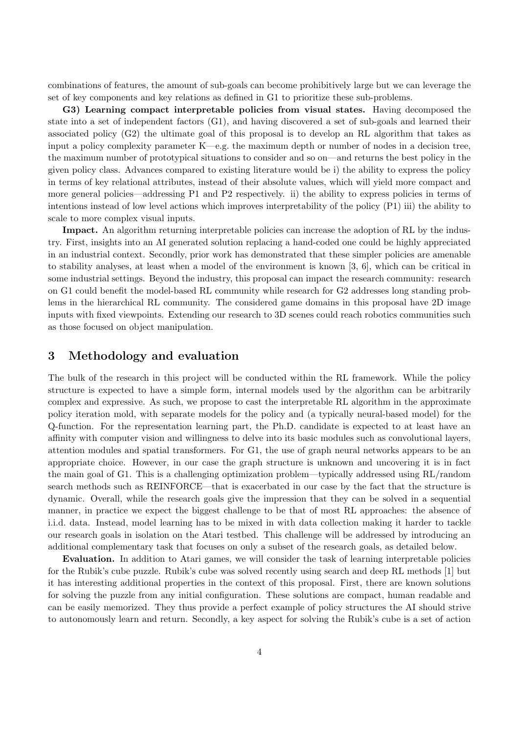combinations of features, the amount of sub-goals can become prohibitively large but we can leverage the set of key components and key relations as defined in G1 to prioritize these sub-problems.

G3) Learning compact interpretable policies from visual states. Having decomposed the state into a set of independent factors (G1), and having discovered a set of sub-goals and learned their associated policy  $(G2)$  the ultimate goal of this proposal is to develop an RL algorithm that takes as input a policy complexity parameter  $K$ —e.g. the maximum depth or number of nodes in a decision tree, the maximum number of prototypical situations to consider and so on—and returns the best policy in the given policy class. Advances compared to existing literature would be i) the ability to express the policy in terms of key relational attributes, instead of their absolute values, which will yield more compact and more general policies—addressing P1 and P2 respectively. ii) the ability to express policies in terms of intentions instead of low level actions which improves interpretability of the policy  $(P1)$  iii) the ability to scale to more complex visual inputs.

**Impact.** An algorithm returning interpretable policies can increase the adoption of RL by the industry. First, insights into an AI generated solution replacing a hand-coded one could be highly appreciated in an industrial context. Secondly, prior work has demonstrated that these simpler policies are amenable to stability analyses, at least when a model of the environment is known [3, 6], which can be critical in some industrial settings. Beyond the industry, this proposal can impact the research community: research on G1 could benefit the model-based RL community while research for G2 addresses long standing problems in the hierarchical RL community. The considered game domains in this proposal have 2D image inputs with fixed viewpoints. Extending our research to 3D scenes could reach robotics communities such as those focused on object manipulation.

#### 3 Methodology and evaluation

The bulk of the research in this project will be conducted within the RL framework. While the policy structure is expected to have a simple form, internal models used by the algorithm can be arbitrarily complex and expressive. As such, we propose to cast the interpretable RL algorithm in the approximate policy iteration mold, with separate models for the policy and (a typically neural-based model) for the Q-function. For the representation learning part, the Ph.D. candidate is expected to at least have an affinity with computer vision and willingness to delve into its basic modules such as convolutional layers, attention modules and spatial transformers. For G1, the use of graph neural networks appears to be an appropriate choice. However, in our case the graph structure is unknown and uncovering it is in fact the main goal of G1. This is a challenging optimization problem—typically addressed using RL/random search methods such as REINFORCE—that is exacerbated in our case by the fact that the structure is dynamic. Overall, while the research goals give the impression that they can be solved in a sequential manner, in practice we expect the biggest challenge to be that of most RL approaches: the absence of i.i.d. data. Instead, model learning has to be mixed in with data collection making it harder to tackle our research goals in isolation on the Atari testbed. This challenge will be addressed by introducing an additional complementary task that focuses on only a subset of the research goals, as detailed below.

**Evaluation.** In addition to Atari games, we will consider the task of learning interpretable policies for the Rubik's cube puzzle. Rubik's cube was solved recently using search and deep RL methods [1] but it has interesting additional properties in the context of this proposal. First, there are known solutions for solving the puzzle from any initial configuration. These solutions are compact, human readable and can be easily memorized. They thus provide a perfect example of policy structures the AI should strive to autonomously learn and return. Secondly, a key aspect for solving the Rubik's cube is a set of action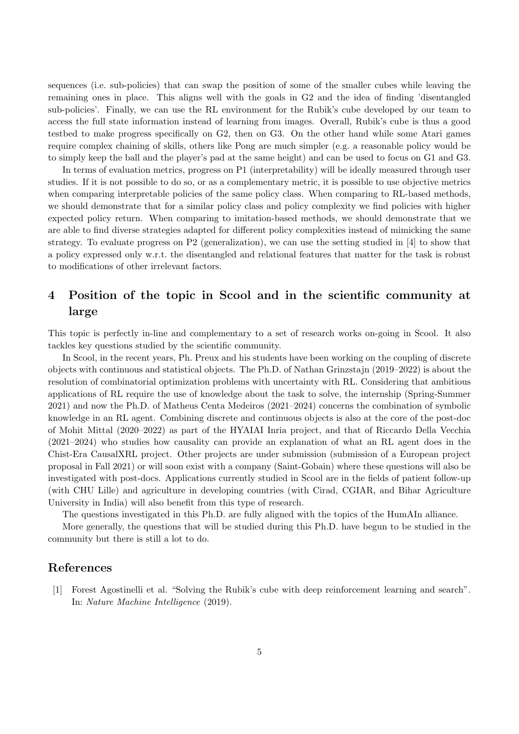sequences (i.e. sub-policies) that can swap the position of some of the smaller cubes while leaving the remaining ones in place. This aligns well with the goals in G2 and the idea of finding 'disentangled sub-policies'. Finally, we can use the RL environment for the Rubik's cube developed by our team to access the full state information instead of learning from images. Overall, Rubik's cube is thus a good testbed to make progress specifically on G2, then on G3. On the other hand while some Atari games require complex chaining of skills, others like Pong are much simpler (e.g. a reasonable policy would be to simply keep the ball and the player's pad at the same height) and can be used to focus on G1 and G3.

In terms of evaluation metrics, progress on P1 (interpretability) will be ideally measured through user studies. If it is not possible to do so, or as a complementary metric, it is possible to use objective metrics when comparing interpretable policies of the same policy class. When comparing to RL-based methods, we should demonstrate that for a similar policy class and policy complexity we find policies with higher expected policy return. When comparing to imitation-based methods, we should demonstrate that we are able to find diverse strategies adapted for different policy complexities instead of mimicking the same strategy. To evaluate progress on  $P2$  (generalization), we can use the setting studied in [4] to show that a policy expressed only w.r.t. the disentangled and relational features that matter for the task is robust to modifications of other irrelevant factors.

### Position of the topic in Scool and in the scientific community at  $\bf{4}$ large

This topic is perfectly in-line and complementary to a set of research works on-going in Scool. It also tackles key questions studied by the scientific community.

In Scool, in the recent years, Ph. Preux and his students have been working on the coupling of discrete objects with continuous and statistical objects. The Ph.D. of Nathan Grinzstajn  $(2019-2022)$  is about the resolution of combinatorial optimization problems with uncertainty with RL. Considering that ambitious applications of RL require the use of knowledge about the task to solve, the internship (Spring-Summer  $2021$ ) and now the Ph.D. of Matheus Centa Medeiros (2021–2024) concerns the combination of symbolic knowledge in an RL agent. Combining discrete and continuous objects is also at the core of the post-doc of Mohit Mittal (2020–2022) as part of the HYAIAI Inria project, and that of Riccardo Della Vecchia  $(2021-2024)$  who studies how causality can provide an explanation of what an RL agent does in the Chist-Era CausalXRL project. Other projects are under submission (submission of a European project proposal in Fall 2021) or will soon exist with a company (Saint-Gobain) where these questions will also be investigated with post-docs. Applications currently studied in Scool are in the fields of patient follow-up (with CHU Lille) and agriculture in developing countries (with Cirad, CGIAR, and Bihar Agriculture University in India) will also benefit from this type of research.

The questions investigated in this Ph.D. are fully aligned with the topics of the HumAIn alliance.

More generally, the questions that will be studied during this Ph.D. have begun to be studied in the community but there is still a lot to do.

### References

[1] Forest Agostinelli et al. "Solving the Rubik's cube with deep reinforcement learning and search". In: Nature Machine Intelligence (2019).